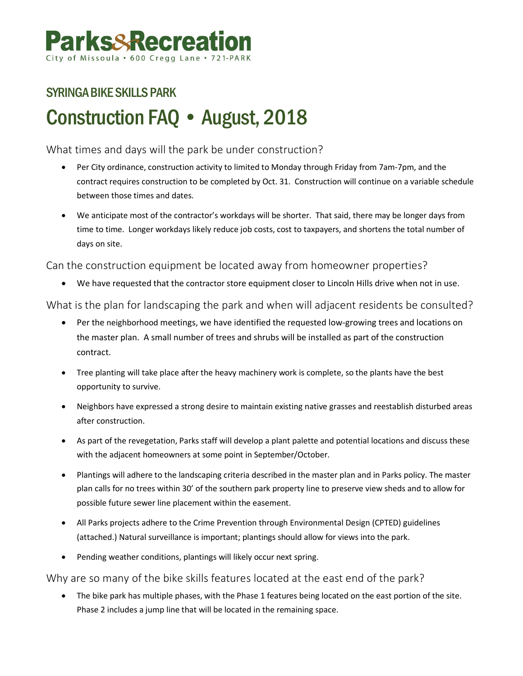# SYRINGA BIKE SKILLS PARK Construction FAQ • August, 2018

What times and days will the park be under construction?

- Per City ordinance, construction activity to limited to Monday through Friday from 7am-7pm, and the contract requires construction to be completed by Oct. 31. Construction will continue on a variable schedule between those times and dates.
- We anticipate most of the contractor's workdays will be shorter. That said, there may be longer days from time to time. Longer workdays likely reduce job costs, cost to taxpayers, and shortens the total number of days on site.

Can the construction equipment be located away from homeowner properties?

• We have requested that the contractor store equipment closer to Lincoln Hills drive when not in use.

What is the plan for landscaping the park and when will adjacent residents be consulted?

- Per the neighborhood meetings, we have identified the requested low-growing trees and locations on the master plan. A small number of trees and shrubs will be installed as part of the construction contract.
- Tree planting will take place after the heavy machinery work is complete, so the plants have the best opportunity to survive.
- Neighbors have expressed a strong desire to maintain existing native grasses and reestablish disturbed areas after construction.
- As part of the revegetation, Parks staff will develop a plant palette and potential locations and discuss these with the adjacent homeowners at some point in September/October.
- Plantings will adhere to the landscaping criteria described in the master plan and in Parks policy. The master plan calls for no trees within 30' of the southern park property line to preserve view sheds and to allow for possible future sewer line placement within the easement.
- All Parks projects adhere to the Crime Prevention through Environmental Design (CPTED) guidelines (attached.) Natural surveillance is important; plantings should allow for views into the park.
- Pending weather conditions, plantings will likely occur next spring.

## Why are so many of the bike skills features located at the east end of the park?

• The bike park has multiple phases, with the Phase 1 features being located on the east portion of the site. Phase 2 includes a jump line that will be located in the remaining space.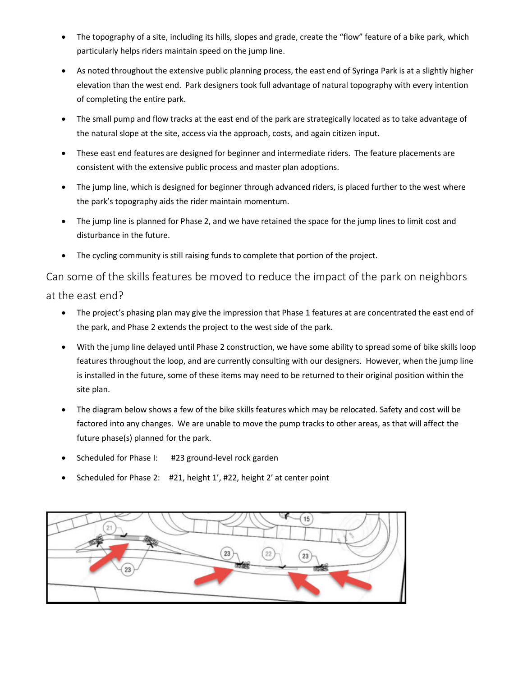- The topography of a site, including its hills, slopes and grade, create the "flow" feature of a bike park, which particularly helps riders maintain speed on the jump line.
- As noted throughout the extensive public planning process, the east end of Syringa Park is at a slightly higher elevation than the west end. Park designers took full advantage of natural topography with every intention of completing the entire park.
- The small pump and flow tracks at the east end of the park are strategically located as to take advantage of the natural slope at the site, access via the approach, costs, and again citizen input.
- These east end features are designed for beginner and intermediate riders. The feature placements are consistent with the extensive public process and master plan adoptions.
- The jump line, which is designed for beginner through advanced riders, is placed further to the west where the park's topography aids the rider maintain momentum.
- The jump line is planned for Phase 2, and we have retained the space for the jump lines to limit cost and disturbance in the future.
- The cycling community is still raising funds to complete that portion of the project.

Can some of the skills features be moved to reduce the impact of the park on neighbors at the east end?

- The project's phasing plan may give the impression that Phase 1 features at are concentrated the east end of the park, and Phase 2 extends the project to the west side of the park.
- With the jump line delayed until Phase 2 construction, we have some ability to spread some of bike skills loop features throughout the loop, and are currently consulting with our designers. However, when the jump line is installed in the future, some of these items may need to be returned to their original position within the site plan.
- The diagram below shows a few of the bike skills features which may be relocated. Safety and cost will be factored into any changes. We are unable to move the pump tracks to other areas, as that will affect the future phase(s) planned for the park.
- Scheduled for Phase I: #23 ground-level rock garden
- Scheduled for Phase 2: #21, height 1', #22, height 2' at center point